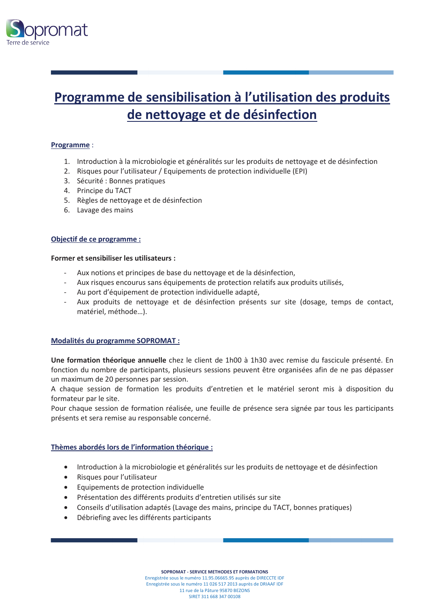

## Programme de sensibilisation à l'utilisation des produits de nettoyage et de désinfection

### Programme:

- 1. Introduction à la microbiologie et généralités sur les produits de nettoyage et de désinfection
- 2. Risques pour l'utilisateur / Equipements de protection individuelle (EPI)
- 3. Sécurité : Bonnes pratiques
- 4. Principe du TACT
- 5. Règles de nettoyage et de désinfection
- 6. Lavage des mains

### Objectif de ce programme :

### Former et sensibiliser les utilisateurs :

- Aux notions et principes de base du nettoyage et de la désinfection,
- Aux risques encourus sans équipements de protection relatifs aux produits utilisés,
- Au port d'équipement de protection individuelle adapté,  $\sim$
- Aux produits de nettoyage et de désinfection présents sur site (dosage, temps de contact, matériel, méthode...).

### **Modalités du programme SOPROMAT :**

Une formation théorique annuelle chez le client de 1h00 à 1h30 avec remise du fascicule présenté. En fonction du nombre de participants, plusieurs sessions peuvent être organisées afin de ne pas dépasser un maximum de 20 personnes par session.

A chaque session de formation les produits d'entretien et le matériel seront mis à disposition du formateur par le site.

Pour chaque session de formation réalisée, une feuille de présence sera signée par tous les participants présents et sera remise au responsable concerné.

### Thèmes abordés lors de l'information théorique :

- Introduction à la microbiologie et généralités sur les produits de nettoyage et de désinfection
- Risques pour l'utilisateur
- Equipements de protection individuelle
- Présentation des différents produits d'entretien utilisés sur site
- Conseils d'utilisation adaptés (Lavage des mains, principe du TACT, bonnes pratiques)
- Débriefing avec les différents participants

SOPROMAT - SERVICE METHODES ET FORMATIONS Enregistrée sous le numéro 11.95.06665.95 auprès de DIRECCTE IDF Enregistrée sous le numéro 11 026 517 2013 auprès de DRIAAF IDF 11 rue de la Pâture 95870 BEZONS SIRET 311 668 347 00108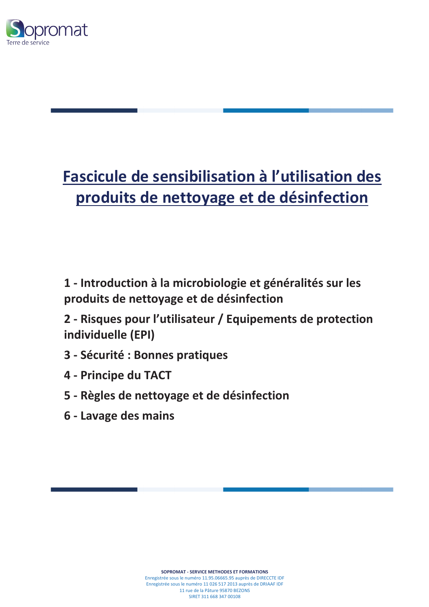

# Fascicule de sensibilisation à l'utilisation des produits de nettoyage et de désinfection

1 - Introduction à la microbiologie et généralités sur les produits de nettoyage et de désinfection

2 - Risques pour l'utilisateur / Equipements de protection individuelle (EPI)

- 3 Sécurité : Bonnes pratiques
- 4 Principe du TACT
- 5 Règles de nettoyage et de désinfection
- 6 Lavage des mains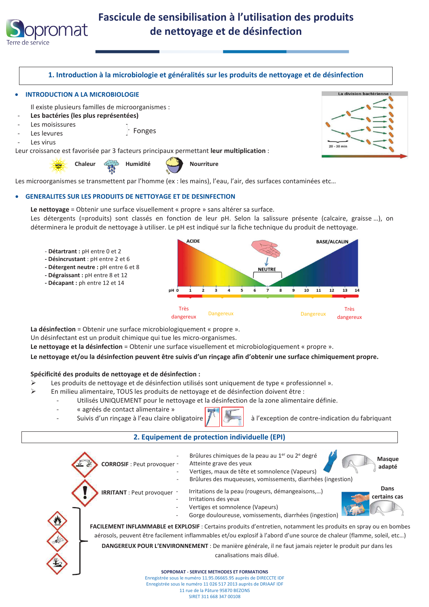



Le nettoyage = Obtenir une surface visuellement « propre » sans altérer sa surface.

Les détergents (=produits) sont classés en fonction de leur pH. Selon la salissure présente (calcaire, graisse ...), on déterminera le produit de nettoyage à utiliser. Le pH est indiqué sur la fiche technique du produit de nettoyage.

- Détartrant : pH entre 0 et 2
- Désincrustant : pH entre 2 et 6
- Détergent neutre : pH entre 6 et 8
- Dégraissant : pH entre 8 et 12
- Décapant : ph entre 12 et 14



La désinfection = Obtenir une surface microbiologiquement « propre ».

Un désinfectant est un produit chimique qui tue les micro-organismes.

Le nettoyage et la désinfection = Obtenir une surface visuellement et microbiologiquement « propre ».

Le nettoyage et/ou la désinfection peuvent être suivis d'un rinçage afin d'obtenir une surface chimiquement propre.

### Spécificité des produits de nettoyage et de désinfection :

- $\triangleright$ Les produits de nettoyage et de désinfection utilisés sont uniquement de type « professionnel ».
- $\triangleright$ En milieu alimentaire, TOUS les produits de nettoyage et de désinfection doivent être :
	- Utilisés UNIQUEMENT pour le nettovage et la désinfection de la zone alimentaire définie.
		- « agréés de contact alimentaire »
		- Suivis d'un rinçage à l'eau claire obligatoire
- 

à l'exception de contre-indication du fabriquant

### 2. Equipement de protection individuelle (EPI)



Enregistrée sous le numéro 11.95.06665.95 auprès de DIRECCTE IDF Enregistrée sous le numéro 11 026 517 2013 auprès de DRIAAF IDF 11 rue de la Pâture 95870 BEZONS

SIRET 311 668 347 00108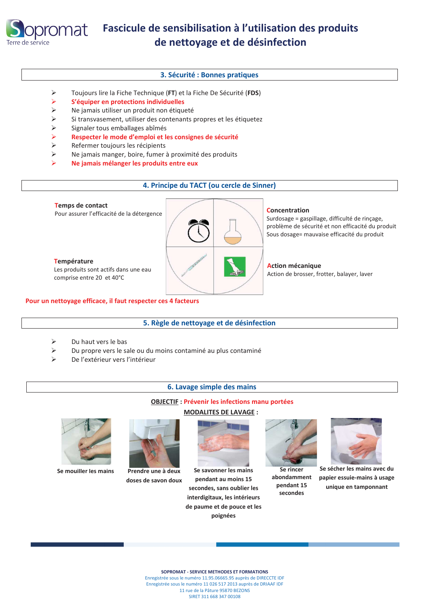

### rOMat Fascicule de sensibilisation à l'utilisation des produits de nettoyage et de désinfection

### 3. Sécurité : Bonnes pratiques

- $\blacktriangleright$ Toujours lire la Fiche Technique (FT) et la Fiche De Sécurité (FDS)
- $\blacktriangleright$ S'équiper en protections individuelles
- $\blacktriangleright$ Ne jamais utiliser un produit non étiqueté
- $\blacktriangleright$ Si transvasement, utiliser des contenants propres et les étiquetez
- $\blacktriangleright$ Signaler tous emballages abîmés
- $\blacktriangleright$ Respecter le mode d'emploi et les consignes de sécurité
- $\blacktriangleright$ Refermer toujours les récipients
- $\blacktriangleright$ Ne jamais manger, boire, fumer à proximité des produits
- $\blacktriangleright$ Ne jamais mélanger les produits entre eux

### 4. Principe du TACT (ou cercle de Sinner)



#### Pour un nettoyage efficace, il faut respecter ces 4 facteurs

### 5. Règle de nettoyage et de désinfection

- $\blacktriangleright$ Du haut vers le bas
- $\triangleright$ Du propre vers le sale ou du moins contaminé au plus contaminé
- $\triangleright$ De l'extérieur vers l'intérieur

### 6. Lavage simple des mains

### **OBJECTIF : Prévenir les infections manu portées**

### **MODALITES DE LAVAGE:**



Se mouiller les mains



Prendre une à deux doses de savon doux



Se savonner les mains pendant au moins 15 secondes, sans oublier les interdigitaux, les intérieurs de paume et de pouce et les poignées



Se rincer abondamment pendant 15 secondes



Se sécher les mains avec du papier essuie-mains à usage unique en tamponnant